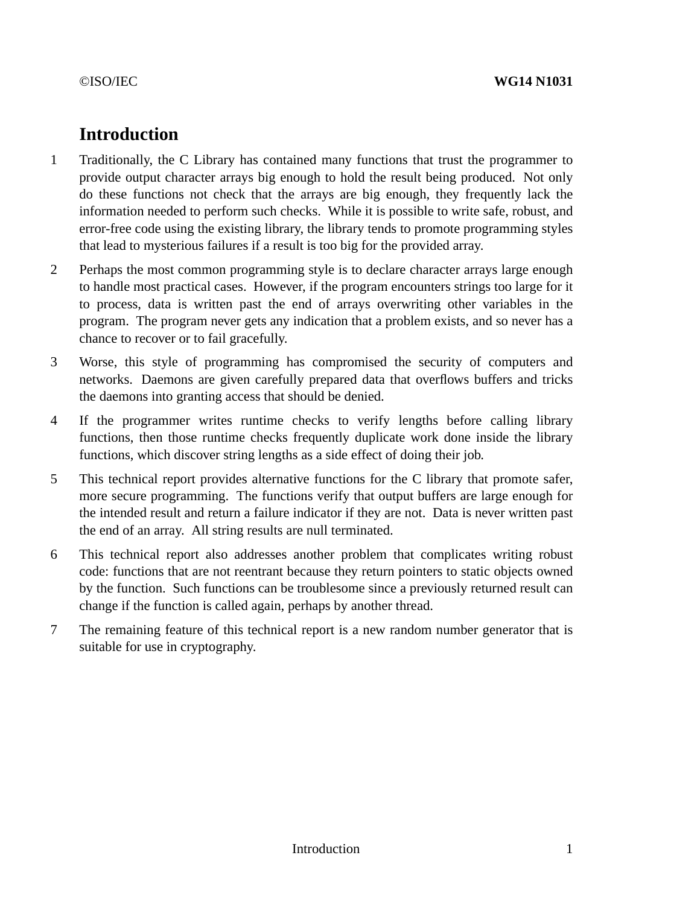# **Introduction**

- 1 Traditionally, the C Library has contained many functions that trust the programmer to provide output character arrays big enough to hold the result being produced. Not only do these functions not check that the arrays are big enough, they frequently lack the information needed to perform such checks. While it is possible to write safe, robust, and error-free code using the existing library, the library tends to promote programming styles that lead to mysterious failures if a result is too big for the provided array.
- 2 Perhaps the most common programming style is to declare character arrays large enough to handle most practical cases. However, if the program encounters strings too large for it to process, data is written past the end of arrays overwriting other variables in the program. The program never gets any indication that a problem exists, and so never has a chance to recover or to fail gracefully.
- 3 Worse, this style of programming has compromised the security of computers and networks. Daemons are given carefully prepared data that overflows buffers and tricks the daemons into granting access that should be denied.
- 4 If the programmer writes runtime checks to verify lengths before calling library functions, then those runtime checks frequently duplicate work done inside the library functions, which discover string lengths as a side effect of doing their job.
- 5 This technical report provides alternative functions for the C library that promote safer, more secure programming. The functions verify that output buffers are large enough for the intended result and return a failure indicator if they are not. Data is never written past the end of an array. All string results are null terminated.
- 6 This technical report also addresses another problem that complicates writing robust code: functions that are not reentrant because they return pointers to static objects owned by the function. Such functions can be troublesome since a previously returned result can change if the function is called again, perhaps by another thread.
- 7 The remaining feature of this technical report is a new random number generator that is suitable for use in cryptography.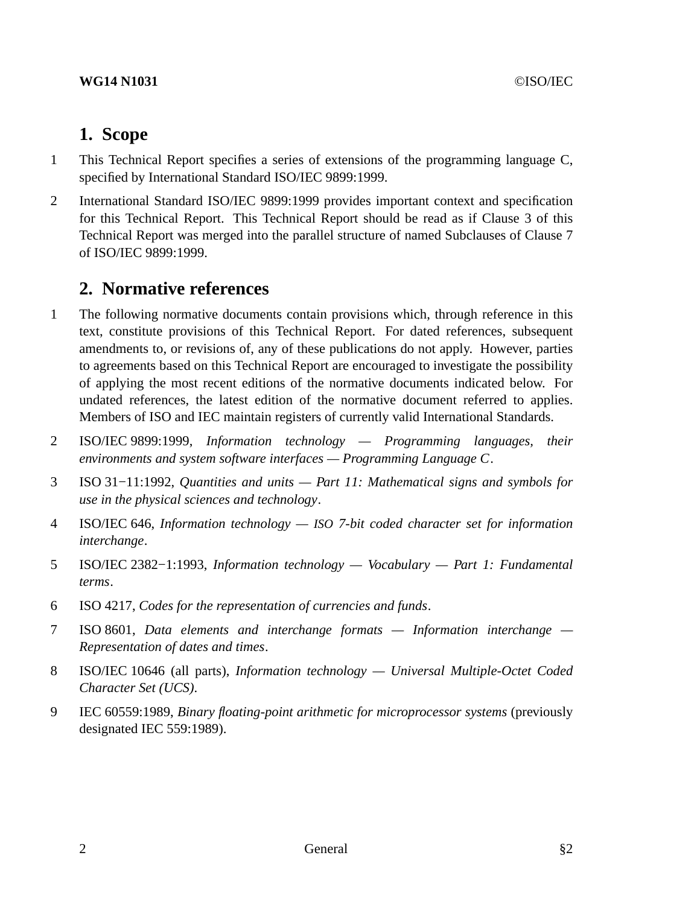# **1. Scope**

- 1 This Technical Report specifies a series of extensions of the programming language C, specified by International Standard ISO/IEC 9899:1999.
- 2 International Standard ISO/IEC 9899:1999 provides important context and specification for this Technical Report. This Technical Report should be read as if Clause 3 of this Technical Report was merged into the parallel structure of named Subclauses of Clause 7 of ISO/IEC 9899:1999.

# **2. Normative references**

- 1 The following normative documents contain provisions which, through reference in this text, constitute provisions of this Technical Report. For dated references, subsequent amendments to, or revisions of, any of these publications do not apply. However, parties to agreements based on this Technical Report are encouraged to investigate the possibility of applying the most recent editions of the normative documents indicated below. For undated references, the latest edition of the normative document referred to applies. Members of ISO and IEC maintain registers of currently valid International Standards.
- 2 ISO/IEC 9899:1999, *Information technology Programming languages, their environments and system software interfaces — Programming Language C*.
- 3 ISO 31−11:1992, *Quantities and units Part 11: Mathematical signs and symbols for use in the physical sciences and technology*.
- 4 ISO/IEC 646, *Information technology — ISO 7-bit coded character set for information interchange*.
- 5 ISO/IEC 2382−1:1993, *Information technology Vocabulary Part 1: Fundamental terms*.
- 6 ISO 4217, *Codes for the representation of currencies and funds*.
- 7 ISO 8601, *Data elements and interchange formats Information interchange — Representation of dates and times*.
- 8 ISO/IEC 10646 (all parts), *Information technology Universal Multiple-Octet Coded Character Set (UCS)*.
- 9 IEC 60559:1989, *Binary floating-point arithmetic for microprocessor systems* (previously designated IEC 559:1989).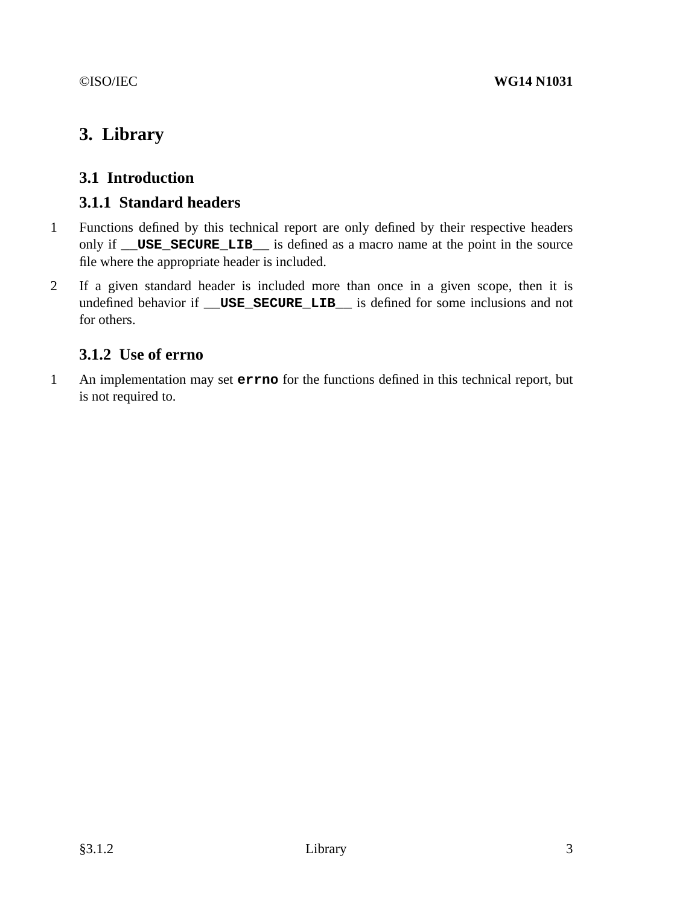# **3. Library**

# **3.1 Introduction**

## **3.1.1 Standard headers**

- 1 Functions defined by this technical report are only defined by their respective headers only if **\_\_USE\_SECURE\_LIB\_\_** is defined as a macro name at the point in the source file where the appropriate header is included.
- 2 If a given standard header is included more than once in a given scope, then it is undefined behavior if **\_\_USE\_SECURE\_LIB\_\_** is defined for some inclusions and not for others.

# **3.1.2 Use of errno**

1 An implementation may set **errno** for the functions defined in this technical report, but is not required to.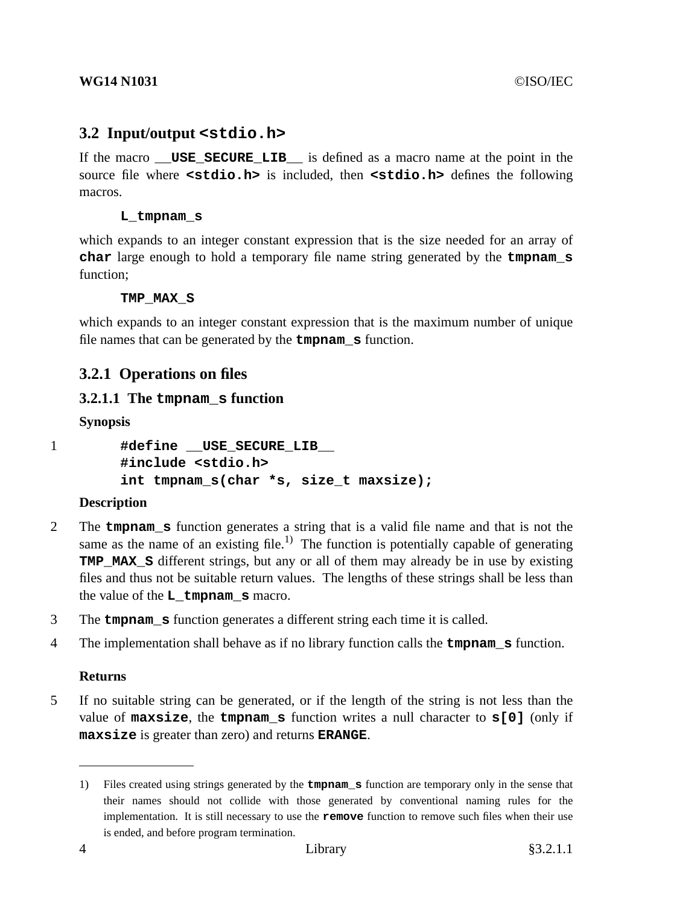## **3.2 Input/output <stdio.h>**

If the macro **USE SECURE LIB** is defined as a macro name at the point in the source file where **<stdio.h>** is included, then **<stdio.h>** defines the following macros.

#### **L\_tmpnam\_s**

which expands to an integer constant expression that is the size needed for an array of **char** large enough to hold a temporary file name string generated by the **tmpnam\_s** function;

#### **TMP\_MAX\_S**

which expands to an integer constant expression that is the maximum number of unique file names that can be generated by the **tmpnam\_s** function.

## **3.2.1 Operations on files**

## **3.2.1.1 The tmpnam\_s function**

**Synopsis**

```
1 #define USE SECURE LIB
       #include <stdio.h>
       int tmpnam_s(char *s, size_t maxsize);
```
#### **Description**

- 2 The **tmpnam\_s** function generates a string that is a valid file name and that is not the same as the name of an existing file.<sup>1)</sup> The function is potentially capable of generating **TMP MAX S** different strings, but any or all of them may already be in use by existing files and thus not be suitable return values. The lengths of these strings shall be less than the value of the **L\_tmpnam\_s** macro.
- 3 The **tmpnam\_s** function generates a different string each time it is called.
- 4 The implementation shall behave as if no library function calls the **tmpnam\_s** function.

#### **Returns**

5 If no suitable string can be generated, or if the length of the string is not less than the value of **maxsize**, the **tmpnam\_s** function writes a null character to **s[0]** (only if **maxsize** is greater than zero) and returns **ERANGE**.

<sup>1)</sup> Files created using strings generated by the **tmpnam\_s** function are temporary only in the sense that their names should not collide with those generated by conventional naming rules for the implementation. It is still necessary to use the **remove** function to remove such files when their use is ended, and before program termination.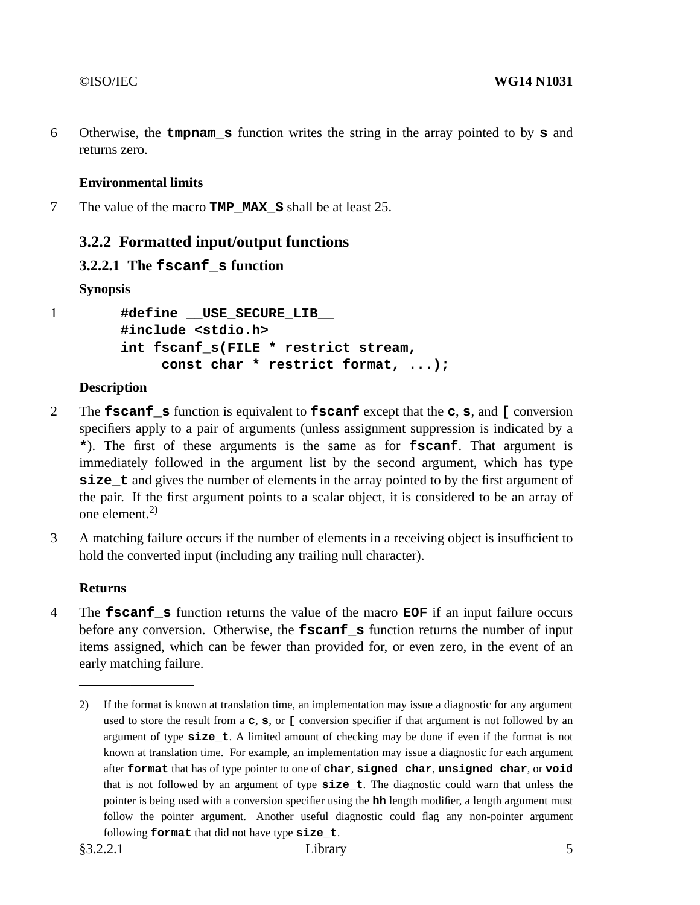6 Otherwise, the **tmpnam\_s** function writes the string in the array pointed to by **s** and returns zero.

## **Environmental limits**

7 The value of the macro **TMP\_MAX\_S** shall be at least 25.

## **3.2.2 Formatted input/output functions**

## **3.2.2.1 The fscanf\_s function**

**Synopsis**

1 **#define \_\_USE\_SECURE\_LIB\_\_ #include <stdio.h> int fscanf\_s(FILE \* restrict stream, const char \* restrict format, ...);**

### **Description**

- 2 The **fscanf\_s** function is equivalent to **fscanf** except that the **c**, **s**, and **[** conversion specifiers apply to a pair of arguments (unless assignment suppression is indicated by a **\***). The first of these arguments is the same as for **fscanf**. That argument is immediately followed in the argument list by the second argument, which has type **size** t and gives the number of elements in the array pointed to by the first argument of the pair. If the first argument points to a scalar object, it is considered to be an array of one element. $2$ )
- 3 A matching failure occurs if the number of elements in a receiving object is insufficient to hold the converted input (including any trailing null character).

## **Returns**

4 The **fscanf\_s** function returns the value of the macro **EOF** if an input failure occurs before any conversion. Otherwise, the **fscanf** s function returns the number of input items assigned, which can be fewer than provided for, or even zero, in the event of an early matching failure.

<sup>2)</sup> If the format is known at translation time, an implementation may issue a diagnostic for any argument used to store the result from a **c**, **s**, or **[** conversion specifier if that argument is not followed by an argument of type **size\_t**.Alimited amount of checking may be done if even if the format is not known at translation time. For example, an implementation may issue a diagnostic for each argument after **format** that has of type pointer to one of **char**, **signed char**, **unsigned char**, or **void** that is not followed by an argument of type **size\_t**. The diagnostic could warn that unless the pointer is being used with a conversion specifier using the **hh** length modifier, a length argument must follow the pointer argument. Another useful diagnostic could flag any non-pointer argument following **format** that did not have type **size\_t**.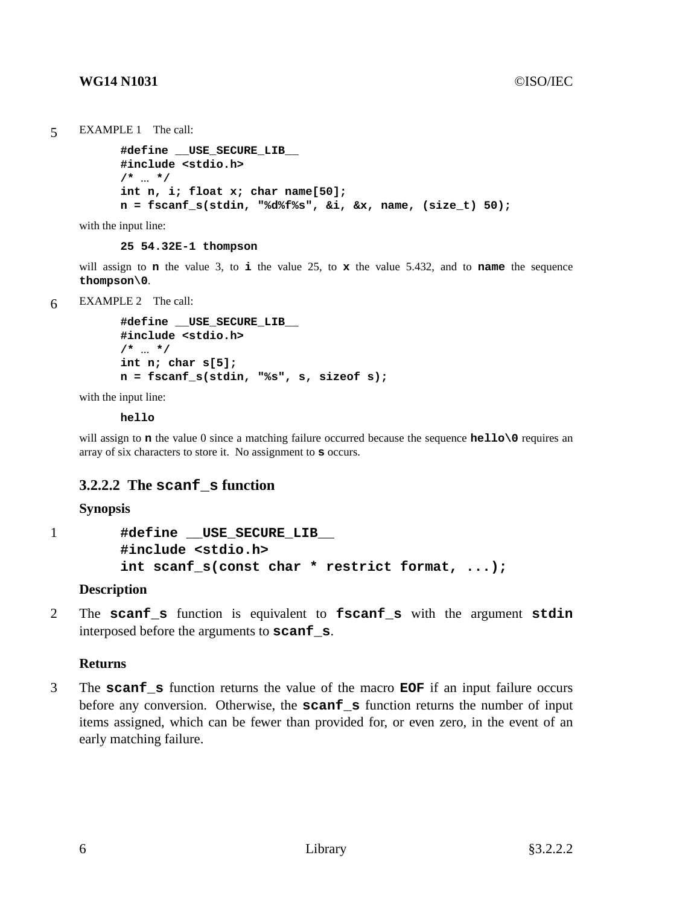```
5 EXAMPLE 1 The call:
```

```
#define __USE_SECURE_LIB__
#include <stdio.h>
/* ... */
int n, i; float x; char name[50];
n=fscanf_s(stdin, "%d%f%s", &i, &x, name, (size_t) 50);
```
with the input line:

**25 54.32E-1 thompson**

will assign to **n** the value 3, to **i** the value 25, to **x** the value 5.432, and to **name** the sequence **thompson\0**.

6 EXAMPLE 2 The call:

```
#define __USE_SECURE_LIB__
#include <stdio.h>
/* ... */
int n; char s[5];
n=fscanf_s(stdin, "%s", s, sizeof s);
```
with the input line:

**hello**

will assign to **n** the value 0 since a matching failure occurred because the sequence **hello** o requires an array of six characters to store it. No assignment to **s** occurs.

## **3.2.2.2 The scanf\_s function**

#### **Synopsis**

```
1 #define __USE_SECURE_LIB__
        #include <stdio.h>
        int scanf_s(const char * restrict format, ...);
```
#### **Description**

2 The **scanf\_s** function is equivalent to **fscanf\_s** with the argument **stdin** interposed before the arguments to **scanf\_s**.

#### **Returns**

3 The **scanf\_s** function returns the value of the macro **EOF** if an input failure occurs before any conversion. Otherwise, the **scanf\_s** function returns the number of input items assigned, which can be fewer than provided for, or even zero, in the event of an early matching failure.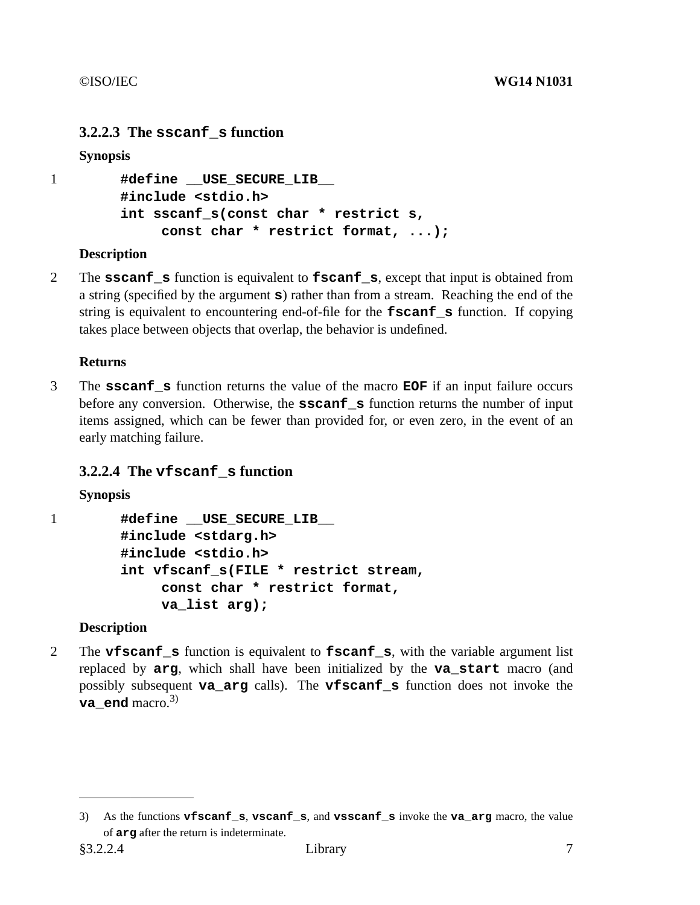## **3.2.2.3 The sscanf\_s function**

## **Synopsis**

```
1 #define __USE_SECURE_LIB__
        #include <stdio.h>
        int sscanf_s(const char * restrict s,
             const char * restrict format, ...);
```
## **Description**

2 The **sscanf\_s** function is equivalent to **fscanf\_s**, except that input is obtained from a string (specified by the argument **s**) rather than from a stream. Reaching the end of the string is equivalent to encountering end-of-file for the **fscanf\_s** function. If copying takes place between objects that overlap, the behavior is undefined.

### **Returns**

3 The **sscanf\_s** function returns the value of the macro **EOF** if an input failure occurs before any conversion. Otherwise, the **sscanf** s function returns the number of input items assigned, which can be fewer than provided for, or even zero, in the event of an early matching failure.

## **3.2.2.4 The vfscanf\_s function**

#### **Synopsis**

1 **#define \_\_USE\_SECURE\_LIB\_\_ #include <stdarg.h> #include <stdio.h> int vfscanf\_s(FILE \* restrict stream, const char \* restrict format, va\_list arg);**

## **Description**

2 The **vfscanf\_s** function is equivalent to **fscanf\_s**, with the variable argument list replaced by **arg**, which shall have been initialized by the **va\_start** macro (and possibly subsequent **va\_arg** calls). The **vfscanf\_s** function does not invoke the **va** end macro.<sup>3)</sup>

<sup>3)</sup> As the functions **vfscanf\_s**, **vscanf\_s**, and **vsscanf\_s** invoke the **va\_arg** macro, the value of **arg** after the return is indeterminate.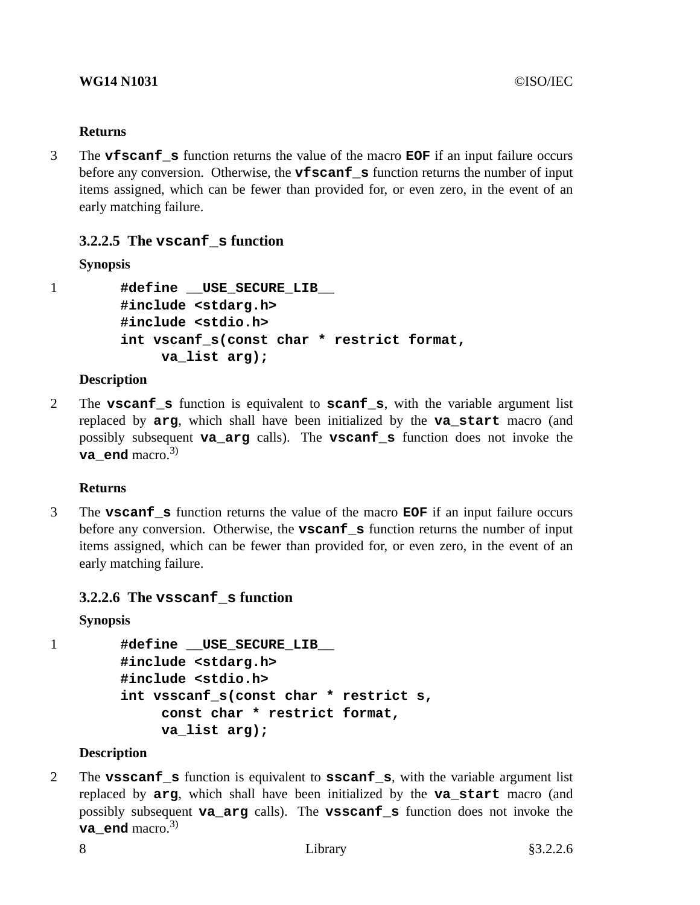3 The **vfscanf\_s** function returns the value of the macro **EOF** if an input failure occurs before any conversion. Otherwise, the **vfscanf\_s** function returns the number of input items assigned, which can be fewer than provided for, or even zero, in the event of an early matching failure.

## **3.2.2.5 The vscanf\_s function**

## **Synopsis**

1 **#define \_\_USE\_SECURE\_LIB\_\_ #include <stdarg.h> #include <stdio.h> int vscanf\_s(const char \* restrict format, va\_list arg);**

## **Description**

2 The **vscanf\_s** function is equivalent to **scanf\_s**, with the variable argument list replaced by **arg**, which shall have been initialized by the **va\_start** macro (and possibly subsequent **va\_arg** calls). The **vscanf\_s** function does not invoke the **va** end macro.<sup>3)</sup>

## **Returns**

3 The **vscanf\_s** function returns the value of the macro **EOF** if an input failure occurs before any conversion. Otherwise, the **vscanf\_s** function returns the number of input items assigned, which can be fewer than provided for, or even zero, in the event of an early matching failure.

## **3.2.2.6 The vsscanf\_s function**

```
Synopsis
```

```
1 #define __USE_SECURE_LIB__
        #include <stdarg.h>
        #include <stdio.h>
        int vsscanf_s(const char * restrict s,
             const char * restrict format,
             va_list arg);
```
## **Description**

2 The **vsscanf\_s** function is equivalent to **sscanf\_s**, with the variable argument list replaced by **arg**, which shall have been initialized by the **va\_start** macro (and possibly subsequent **va\_arg** calls). The **vsscanf\_s** function does not invoke the **va** end macro.<sup>3)</sup>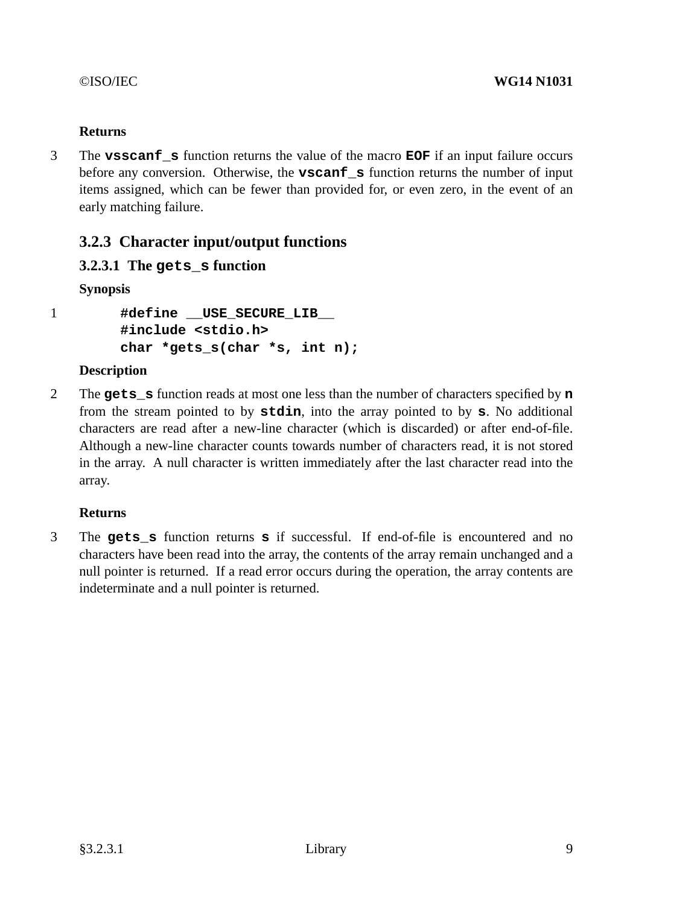3 The **vsscanf\_s** function returns the value of the macro **EOF** if an input failure occurs before any conversion. Otherwise, the **vscanf\_s** function returns the number of input items assigned, which can be fewer than provided for, or even zero, in the event of an early matching failure.

# **3.2.3 Character input/output functions**

## **3.2.3.1 The gets\_s function**

**Synopsis**

1 **#define \_\_USE\_SECURE\_LIB\_\_ #include <stdio.h> char \*gets\_s(char \*s, int n);**

## **Description**

2 The **gets\_s** function reads at most one less than the number of characters specified by **n** from the stream pointed to by **stdin**, into the array pointed to by **s**. No additional characters are read after a new-line character (which is discarded) or after end-of-file. Although a new-line character counts towards number of characters read, it is not stored in the array. A null character is written immediately after the last character read into the array.

## **Returns**

3 The **gets\_s** function returns **s** if successful. If end-of-file is encountered and no characters have been read into the array, the contents of the array remain unchanged and a null pointer is returned. If a read error occurs during the operation, the array contents are indeterminate and a null pointer is returned.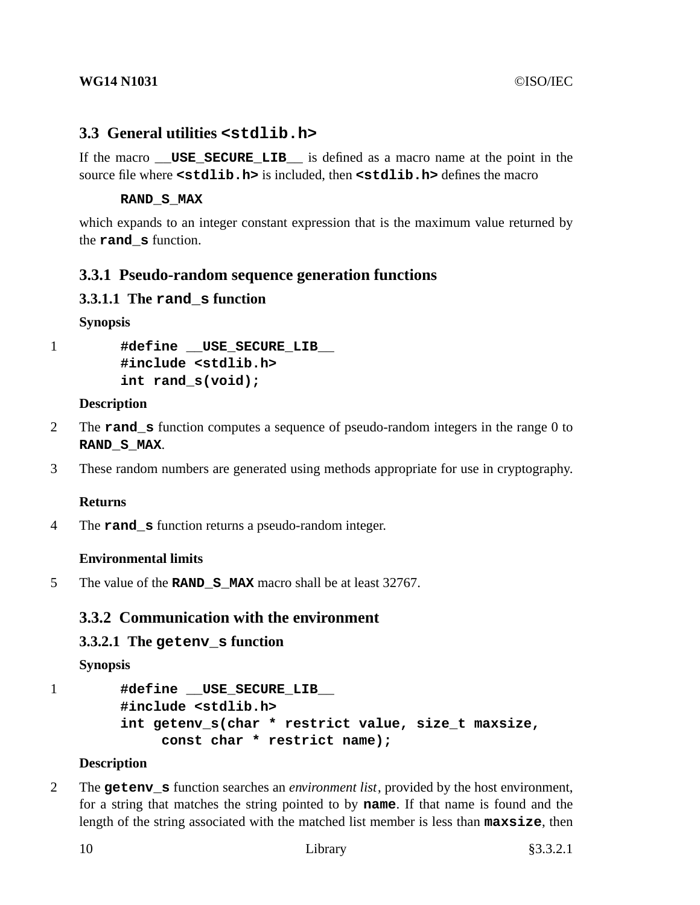## **3.3 General utilities <stdlib.h>**

If the macro **USE SECURE LIB** is defined as a macro name at the point in the source file where **<stdlib.h>** is included, then **<stdlib.h>** defines the macro

#### **RAND\_S\_MAX**

which expands to an integer constant expression that is the maximum value returned by the **rand\_s** function.

## **3.3.1 Pseudo-random sequence generation functions**

## **3.3.1.1 The rand\_s function**

**Synopsis**

1 **#define \_\_USE\_SECURE\_LIB\_\_ #include <stdlib.h> int rand\_s(void);**

#### **Description**

- 2 The **rand\_s** function computes a sequence of pseudo-random integers in the range 0 to **RAND\_S\_MAX**.
- 3 These random numbers are generated using methods appropriate for use in cryptography.

#### **Returns**

4 The **rand\_s** function returns a pseudo-random integer.

## **Environmental limits**

5 The value of the **RAND\_S\_MAX** macro shall be at least 32767.

## **3.3.2 Communication with the environment**

## **3.3.2.1 The getenv\_s function**

**Synopsis**

```
1 #define USE SECURE LIB
       #include <stdlib.h>
       int getenv_s(char * restrict value, size_t maxsize,
            const char * restrict name);
```
## **Description**

2 The **getenv\_s** function searches an *environment list*, provided by the host environment, for a string that matches the string pointed to by **name**. If that name is found and the length of the string associated with the matched list member is less than **maxsize**, then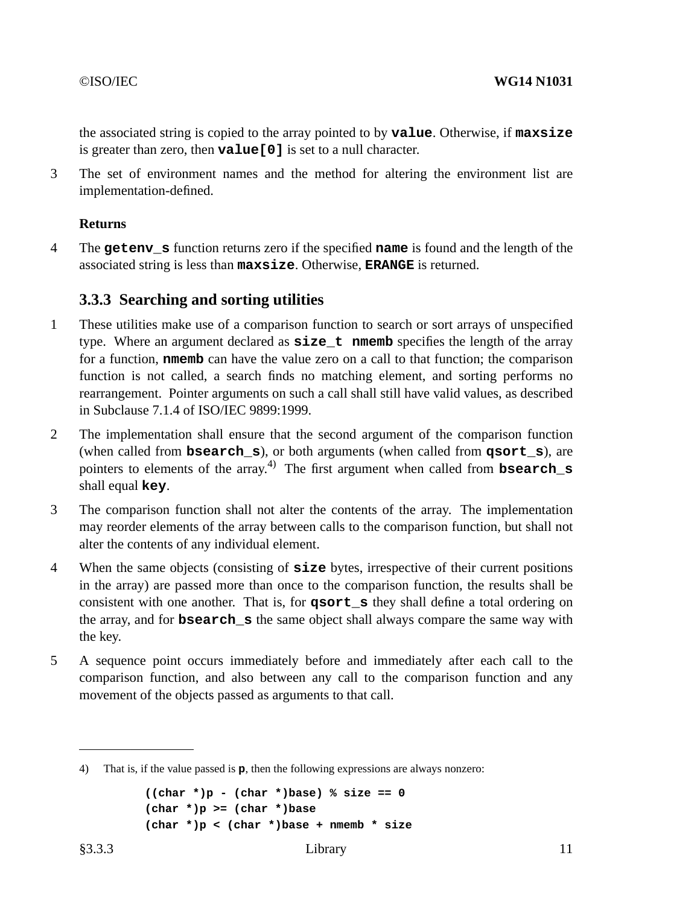the associated string is copied to the array pointed to by **value**. Otherwise, if **maxsize** is greater than zero, then **value[0]** is set to a null character.

3 The set of environment names and the method for altering the environment list are implementation-defined.

#### **Returns**

4 The **getenv\_s** function returns zero if the specified **name** is found and the length of the associated string is less than **maxsize**. Otherwise, **ERANGE** is returned.

## **3.3.3 Searching and sorting utilities**

- 1 These utilities make use of a comparison function to search or sort arrays of unspecified type. Where an argument declared as **size** t **nmemb** specifies the length of the array for a function, **nmemb** can have the value zero on a call to that function; the comparison function is not called, a search finds no matching element, and sorting performs no rearrangement. Pointer arguments on such a call shall still have valid values, as described in Subclause 7.1.4 of ISO/IEC 9899:1999.
- 2 The implementation shall ensure that the second argument of the comparison function (when called from **bsearch\_s**), or both arguments (when called from **qsort\_s**), are pointers to elements of the array. 4) The first argument when called from **bsearch\_s** shall equal **key**.
- 3 The comparison function shall not alter the contents of the array. The implementation may reorder elements of the array between calls to the comparison function, but shall not alter the contents of any individual element.
- 4 When the same objects (consisting of **size** bytes, irrespective of their current positions in the array) are passed more than once to the comparison function, the results shall be consistent with one another. That is, for **qsort\_s** they shall define a total ordering on the array, and for **bsearch\_s** the same object shall always compare the same way with the key.
- 5 A sequence point occurs immediately before and immediately after each call to the comparison function, and also between any call to the comparison function and any movement of the objects passed as arguments to that call.

```
((char * )p - (char * )base) % size == 0(char *)p >= (char *)base
(char *)p < (char *)base + nmemb * size
```
<sup>4)</sup> That is, if the value passed is **p**, then the following expressions are always nonzero: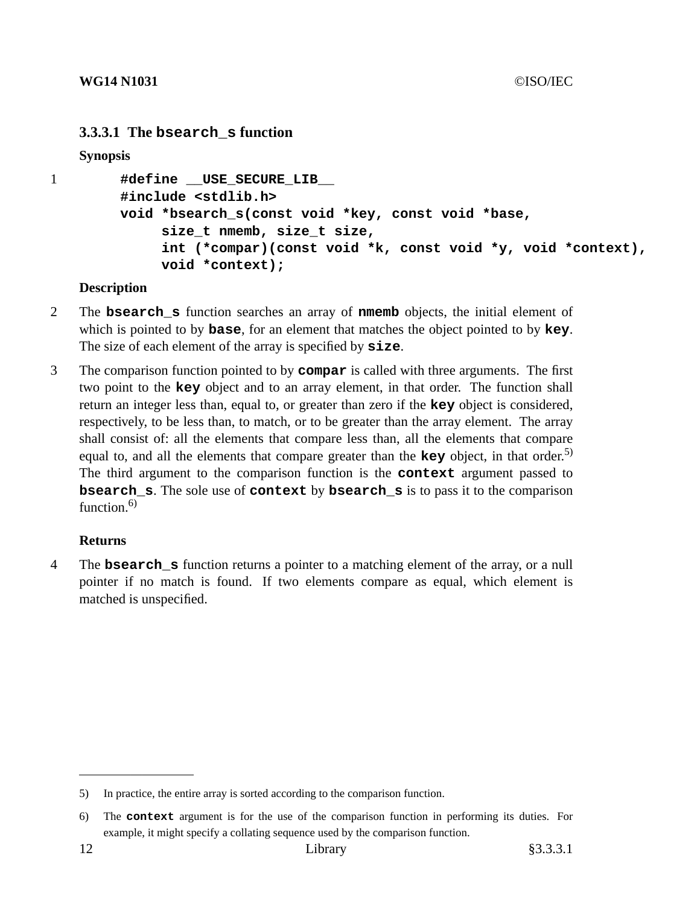## **3.3.3.1 The bsearch\_s function**

**Synopsis**

```
1 #define __USE_SECURE_LIB__
        #include <stdlib.h>
        void *bsearch_s(const void *key, const void *base,
             size_t nmemb, size_t size,
             int (*compar)(const void *k, const void *y, void *context),
             void *context);
```
### **Description**

- 2 The **bsearch\_s** function searches an array of **nmemb** objects, the initial element of which is pointed to by **base**, for an element that matches the object pointed to by **key**. The size of each element of the array is specified by **size**.
- 3 The comparison function pointed to by **compar** is called with three arguments. The first two point to the **key** object and to an array element, in that order. The function shall return an integer less than, equal to, or greater than zero if the **key** object is considered, respectively, to be less than, to match, or to be greater than the array element. The array shall consist of: all the elements that compare less than, all the elements that compare equal to, and all the elements that compare greater than the **key** object, in that order. 5) The third argument to the comparison function is the **context** argument passed to **bsearch\_s**. The sole use of **context** by **bsearch\_s** is to pass it to the comparison function. $6$ )

## **Returns**

4 The **bsearch\_s** function returns a pointer to a matching element of the array, oranull pointer if no match is found. If two elements compare as equal, which element is matched is unspecified.

<sup>5)</sup> In practice, the entire array is sorted according to the comparison function.

<sup>6)</sup> The **context** argument is for the use of the comparison function in performing its duties. For example, it might specify a collating sequence used by the comparison function.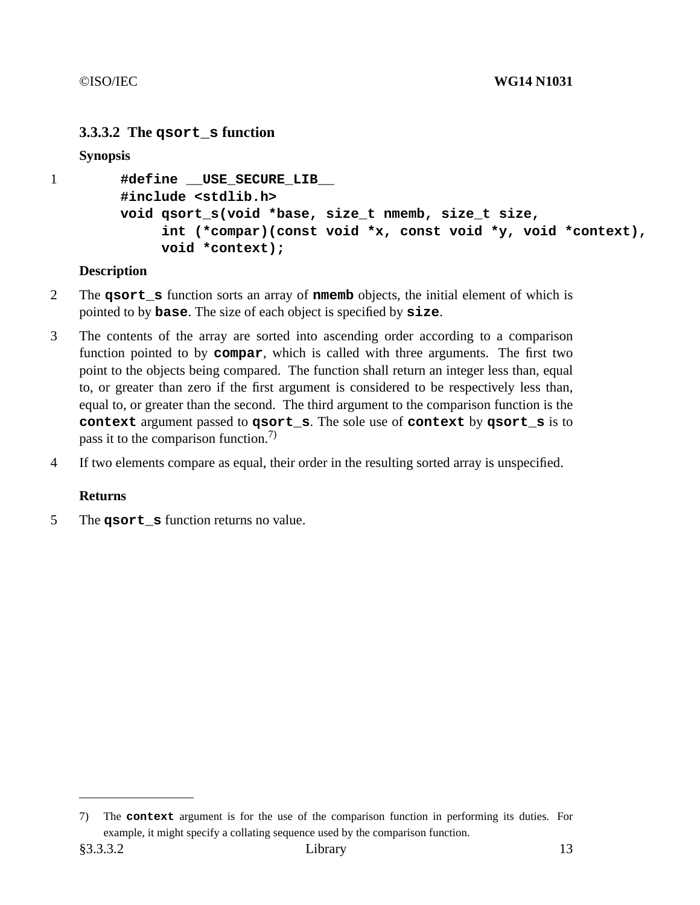## **3.3.3.2 The qsort\_s function**

**Synopsis**

```
1 #define __USE_SECURE_LIB__
        #include <stdlib.h>
        void qsort_s(void *base, size_t nmemb, size_t size,
             int (*compar)(const void *x, const void *y, void *context),
             void *context);
```
### **Description**

- 2 The **qsort\_s** function sorts an array of **nmemb** objects, the initial element of which is pointed to by **base**. The size of each object is specified by **size**.
- 3 The contents of the array are sorted into ascending order according to a comparison function pointed to by **compar**, which is called with three arguments. The first two point to the objects being compared. The function shall return an integer less than, equal to, or greater than zero if the first argument is considered to be respectively less than, equal to, or greater than the second. The third argument to the comparison function is the **context** argument passed to **qsort\_s**. The sole use of **context** by **qsort\_s** is to pass it to the comparison function.<sup>7)</sup>
- 4 If two elements compare as equal, their order in the resulting sorted array is unspecified.

## **Returns**

5 The **qsort\_s** function returns no value.

<sup>7)</sup> The **context** argument is for the use of the comparison function in performing its duties. For example, it might specify a collating sequence used by the comparison function.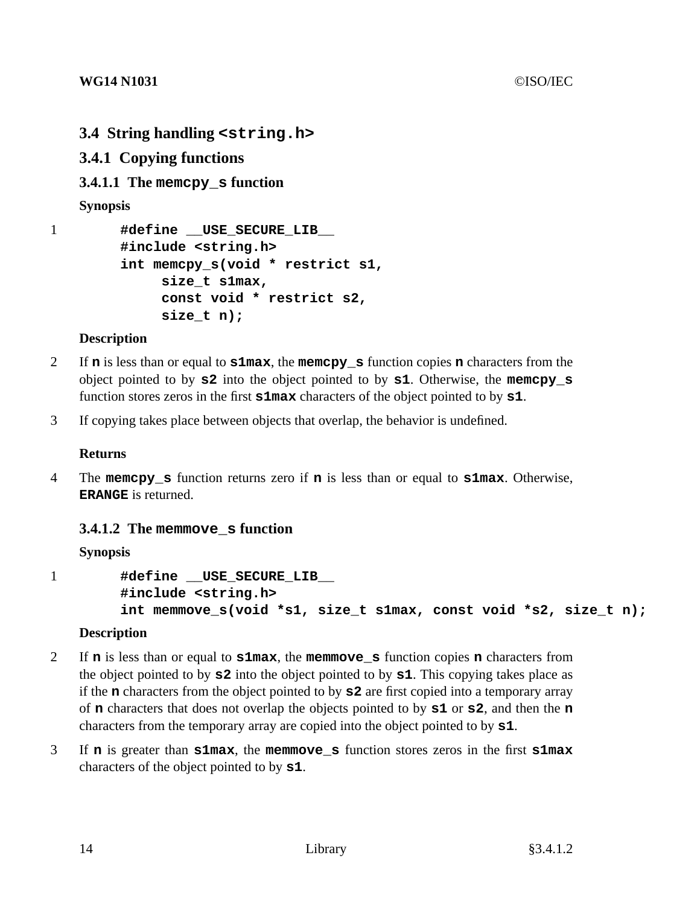- **3.4 String handling <string.h>**
- **3.4.1 Copying functions**
- **3.4.1.1 The memcpy\_s function**

**Synopsis**

```
1 #define __USE_SECURE_LIB__
        #include <string.h>
        int memcpy_s(void * restrict s1,
             size_t s1max,
             const void * restrict s2,
             size_t n);
```
## **Description**

- 2 If **n** is less than or equal to **s1max**, the **memcpy\_s** function copies **n** characters from the object pointed to by **s2** into the object pointed to by **s1**. Otherwise, the **memcpy\_s** function stores zeros in the first **s1max** characters of the object pointed to by **s1**.
- 3 If copying takes place between objects that overlap, the behavior is undefined.

## **Returns**

4 The **memcpy\_s** function returns zero if **n** is less than or equal to **s1max**. Otherwise, **ERANGE** is returned.

## **3.4.1.2 The memmove\_s function**

## **Synopsis**

```
1 #define __USE_SECURE_LIB__
        #include <string.h>
        int memmove s(void *s1, size t s1max, const void *s2, size t n);
```
## **Description**

- 2 If **n** is less than or equal to **s1max**, the **memmove\_s** function copies **n** characters from the object pointed to by **s2** into the object pointed to by **s1**. This copying takes place as if the **n** characters from the object pointed to by **s2** are first copied into a temporary array of **n** characters that does not overlap the objects pointed to by **s1** or **s2**, and then the **n** characters from the temporary array are copied into the object pointed to by **s1**.
- 3 If **n** is greater than **s1max**, the **memmove\_s** function stores zeros in the first **s1max** characters of the object pointed to by **s1**.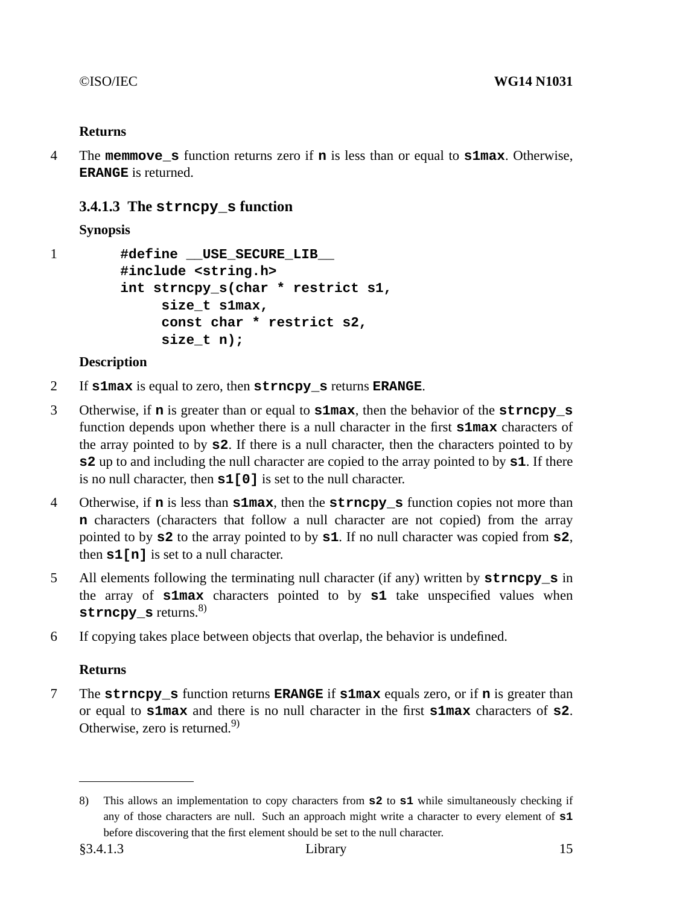4 The **memmove\_s** function returns zero if **n** is less than or equal to **s1max**. Otherwise, **ERANGE** is returned.

## **3.4.1.3 The strncpy\_s function**

**Synopsis**

```
1 #define USE SECURE LIB
        #include <string.h>
        int strncpy_s(char * restrict s1,
            size_t s1max,
            const char * restrict s2,
            size_t n);
```
## **Description**

- 2 If **s1max** is equal to zero, then **strncpy\_s** returns **ERANGE**.
- 3 Otherwise, if **n** is greater than or equal to **s1max**, then the behavior of the **strncpy\_s** function depends upon whether there is a null character in the first **s1max** characters of the array pointed to by **s2**. If there is a null character, then the characters pointed to by **s2** up to and including the null character are copied to the array pointed to by **s1**. If there is no null character, then **s1[0]** is set to the null character.
- 4 Otherwise, if **n** is less than **s1max**, then the **strncpy\_s** function copies not more than **n** characters (characters that follow a null character are not copied) from the array pointed to by **s2** to the array pointed to by **s1**. If no null character was copied from **s2**, then **s1[n]** is set to a null character.
- 5 All elements following the terminating null character (if any) written by **strncpy\_s** in the array of **s1max** characters pointed to by **s1** take unspecified values when **strncpy s** returns.<sup>8)</sup>
- 6 If copying takes place between objects that overlap, the behavior is undefined.

## **Returns**

7 The **strncpy\_s** function returns **ERANGE** if **s1max** equals zero, or if **n** is greater than or equal to **s1max** and there is no null character in the first **s1max** characters of **s2**. Otherwise, zero is returned.<sup>9)</sup>

<sup>8)</sup> This allows an implementation to copy characters from **s2** to **s1** while simultaneously checking if any of those characters are null. Such an approach might write a character to every element of **s1** before discovering that the first element should be set to the null character.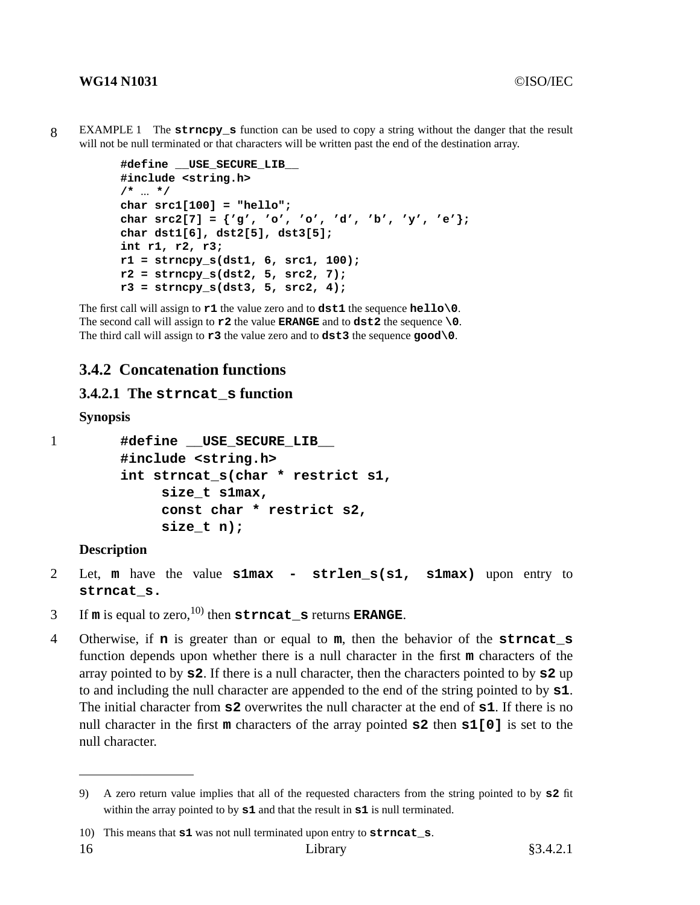8 EXAMPLE 1 The **strncpy\_s** function can be used to copyastring without the danger that the result will not be null terminated or that characters will be written past the end of the destination array.

```
#define __USE_SECURE_LIB__
#include <string.h>
/* ... */
char src1[100] = "hello";
char src2[7] = {'g', 'o', 'o', 'd', 'b', 'y', 'e'};
char dst1[6], dst2[5], dst3[5];
int r1, r2, r3;
r1 = strncpy_s(dst1, 6, src1, 100);
r2 = strncpy_s(dst2, 5, src2, 7);
r3 = strncpy_s(dst3, 5, src2, 4);
```
The first call will assign to **r1** the value zero and to **dst1** the sequence **hello\0**. The second call will assign to  $r^2$  the value **ERANGE** and to  $dst^2$  the sequence **\0**. The third call will assign to **r3** the value zero and to **dst3** the sequence **good\0**.

## **3.4.2 Concatenation functions**

#### **3.4.2.1 The strncat\_s function**

#### **Synopsis**

1 **#define** USE SECURE LIB **#include <string.h> int strncat\_s(char \* restrict s1, size\_t s1max, const char \* restrict s2, size\_t n);**

#### **Description**

- 2 Let, **m** have the value **s1max strlen\_s(s1, s1max)** upon entry to **strncat\_s.**
- 3 If  $m$  is equal to zero,<sup>10)</sup> then  $strncat$  s returns **ERANGE**.
- 4 Otherwise, if **n** is greater than or equal to **m**, then the behavior of the **strncat\_s** function depends upon whether there is a null character in the first **m** characters of the array pointed to by **s2**. If there is a null character, then the characters pointed to by **s2** up to and including the null character are appended to the end of the string pointed to by **s1**. The initial character from **s2** overwrites the null character at the end of **s1**. If there is no null character in the first **m** characters of the array pointed **s2** then **s1[0]** is set to the null character.

<sup>9)</sup> A zero return value implies that all of the requested characters from the string pointed to by **s2** fit within the array pointed to by **s1** and that the result in **s1** is null terminated.

<sup>10)</sup> This means that **s1** was not null terminated upon entry to **strncat\_s**.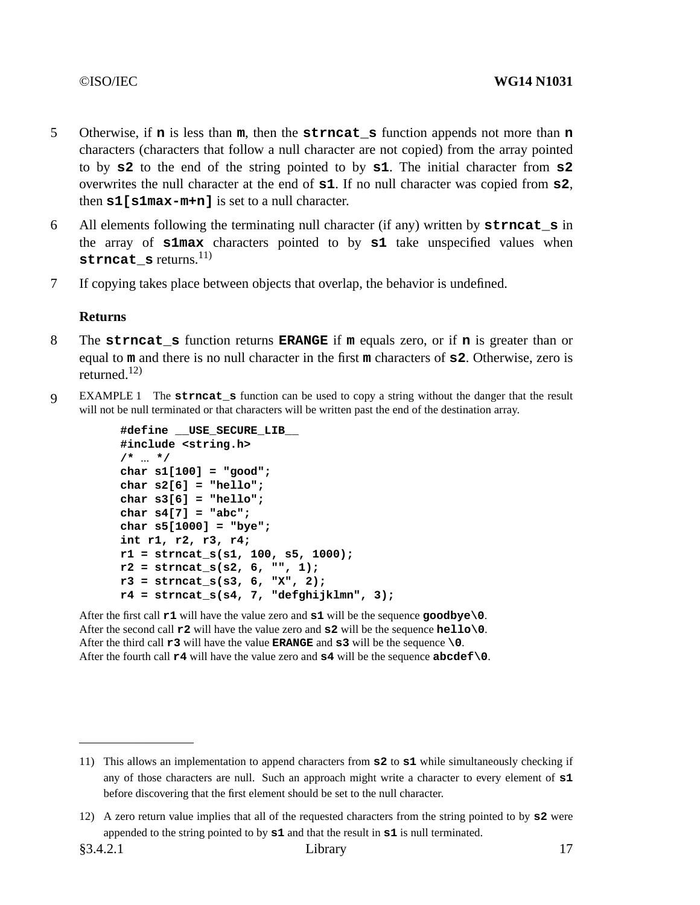- 5 Otherwise, if **n** is less than **m**, then the **strncat\_s** function appends not more than **n** characters (characters that followanull character are not copied) from the array pointed to by **s2** to the end of the string pointed to by **s1**. The initial character from **s2** overwrites the null character at the end of **s1**. If no null character was copied from **s2**, then **s1[s1max-m+n]** is set to a null character.
- 6 All elements following the terminating null character (if any) written by **strncat\_s** in the array of **s1max** characters pointed to by **s1** take unspecified values when **strncat\_s** returns.<sup>11)</sup>
- 7 If copying takes place between objects that overlap, the behavior is undefined.

- 8 The **strncat\_s** function returns **ERANGE** if **m** equals zero, or if **n** is greater than or equal to **m** and there is no null character in the first **m** characters of **s2**. Otherwise, zero is returned. $12$ )
- 9 EXAMPLE 1 The **strncat\_s** function can be used to copyastring without the danger that the result will not be null terminated or that characters will be written past the end of the destination array.

```
#define __USE_SECURE_LIB__
#include <string.h>
/* ... */
char s1[100] = "good";
char s2[6] = "hello";
char s3[6] = "hello";
char s4[7] = "abc";
char s5[1000] = "bye";
int r1, r2, r3, r4;
r1 = strncat_s(s1, 100, s5, 1000);
r2 = strncat_s(s2, 6, "", 1);
r3 = strncat_s(s3, 6, "X", 2);
r4 = strncat_s(s4, 7, "defghijklmn", 3);
```
After the first call **r1** will have the value zero and **s1** will be the sequence **goodbye\0**. After the second call **r2** will have the value zero and **s2** will be the sequence **hello\0**. After the third call **r3** will have the value **ERANGE** and **s3** will be the sequence **\0**. After the fourth call **r4** will have the value zero and **s4** will be the sequence **abcdef\0**.

<sup>11)</sup> This allows an implementation to append characters from **s2** to **s1** while simultaneously checking if any of those characters are null. Such an approach might write a character to every element of **s1** before discovering that the first element should be set to the null character.

<sup>12)</sup> A zero return value implies that all of the requested characters from the string pointed to by **s2** were appended to the string pointed to by **s1** and that the result in **s1** is null terminated.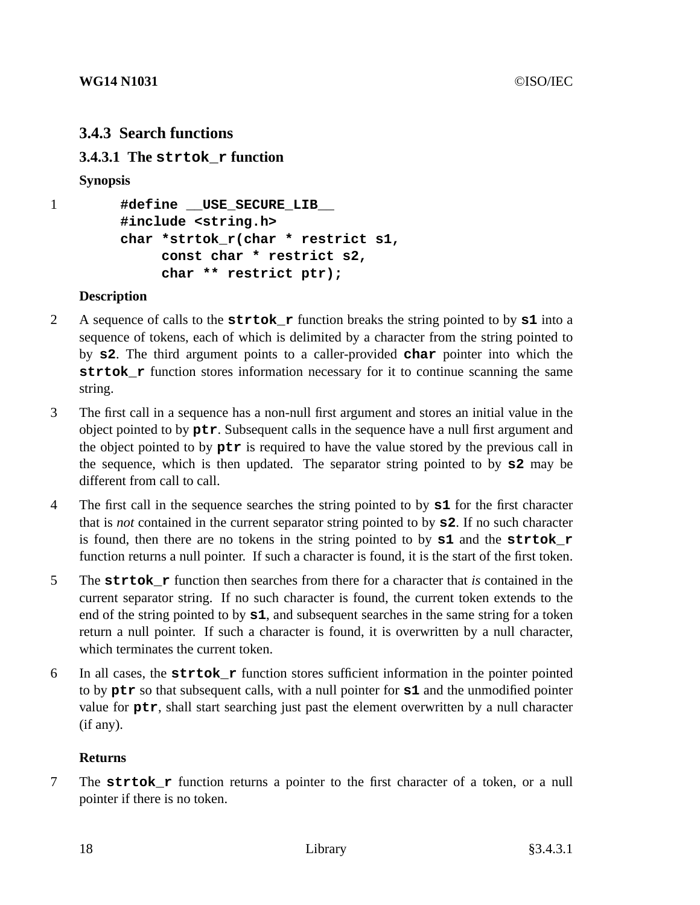## **3.4.3 Search functions**

**3.4.3.1 The strtok\_r function**

## **Synopsis**

```
1 #define __USE_SECURE_LIB__
        #include <string.h>
        char *strtok_r(char * restrict s1,
             const char * restrict s2,
             char ** restrict ptr);
```
## **Description**

- 2 A sequence of calls to the **strtok\_r** function breaks the string pointed to by **s1** into a sequence of tokens, each of which is delimited by a character from the string pointed to by **s2**. The third argument points to a caller-provided **char** pointer into which the **strtok\_r** function stores information necessary for it to continue scanning the same string.
- 3 The first call in a sequence has a non-null first argument and stores an initial value in the object pointed to by **ptr**. Subsequent calls in the sequence have a null first argument and the object pointed to by **ptr** is required to have the value stored by the previous call in the sequence, which is then updated. The separator string pointed to by **s2** may be different from call to call.
- 4 The first call in the sequence searches the string pointed to by **s1** for the first character that is *not* contained in the current separator string pointed to by **s2**. If no such character is found, then there are no tokens in the string pointed to by **s1** and the **strtok\_r** function returns a null pointer. If such a character is found, it is the start of the first token.
- 5 The **strtok\_r** function then searches from there for a character that *is* contained in the current separator string. If no such character is found, the current token extends to the end of the string pointed to by **s1**, and subsequent searches in the same string for a token return a null pointer. If such a character is found, it is overwritten by a null character, which terminates the current token.
- 6 In all cases, the **strtok\_r** function stores sufficient information in the pointer pointed to by **ptr** so that subsequent calls, with a null pointer for **s1** and the unmodified pointer value for **ptr**, shall start searching just past the element overwritten by a null character (if any).

## **Returns**

7 The **strtok\_r** function returns a pointer to the first character of a token, or a null pointer if there is no token.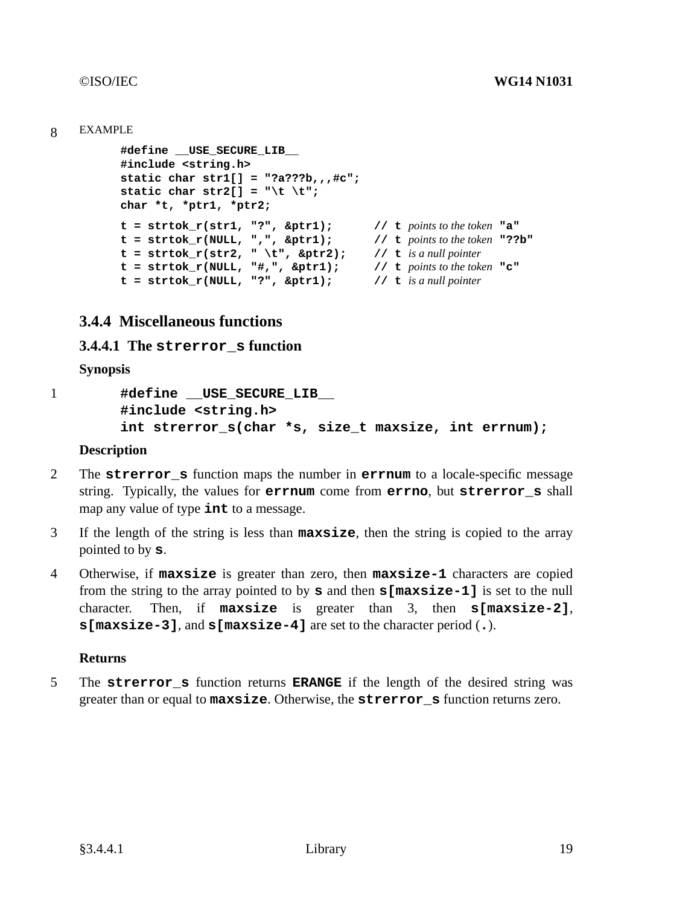#### 8 EXAMPLE

```
#define __USE_SECURE_LIB__
#include <string.h>
static char str1[] = "?a???b,,,#c";
static char str2[] = "\t \setminus t";char *t, *ptr1, *ptr2;
t=strtok_r(str1, "?", &ptr1); // t points to the token "a"
t = strtok_r(NULL, ",", \&ptr1); // t points to the token "??b"
t=strtok_r(str2, " \t", &ptr2); // t is a null pointer
t=strtok_r(NULL, "#,", &ptr1); // t points to the token "c"
t=strtok_r(NULL, "?", &ptr1); // t is a null pointer
```
## **3.4.4 Miscellaneous functions**

### **3.4.4.1 The strerror\_s function**

**Synopsis**

```
1 #define __USE_SECURE_LIB__
        #include <string.h>
        int strerror_s(char *s, size_t maxsize, int errnum);
```
#### **Description**

- 2 The **strerror\_s** function maps the number in **errnum** to a locale-specific message string. Typically, the values for **errnum** come from **errno**, but **strerror\_s** shall map any value of type **int** to a message.
- 3 If the length of the string is less than **maxsize**, then the string is copied to the array pointed to by **s**.
- 4 Otherwise, if **maxsize** is greater than zero, then **maxsize-1** characters are copied from the string to the array pointed to by **s** and then **s[maxsize-1]** is set to the null character. Then, if **maxsize** is greater than 3, then **s[maxsize-2]**, **s[maxsize-3]**, and **s[maxsize-4]** are set to the character period (**.**).

#### **Returns**

5 The **strerror s** function returns **ERANGE** if the length of the desired string was greater than or equal to **maxsize**. Otherwise, the **strerror\_s** function returns zero.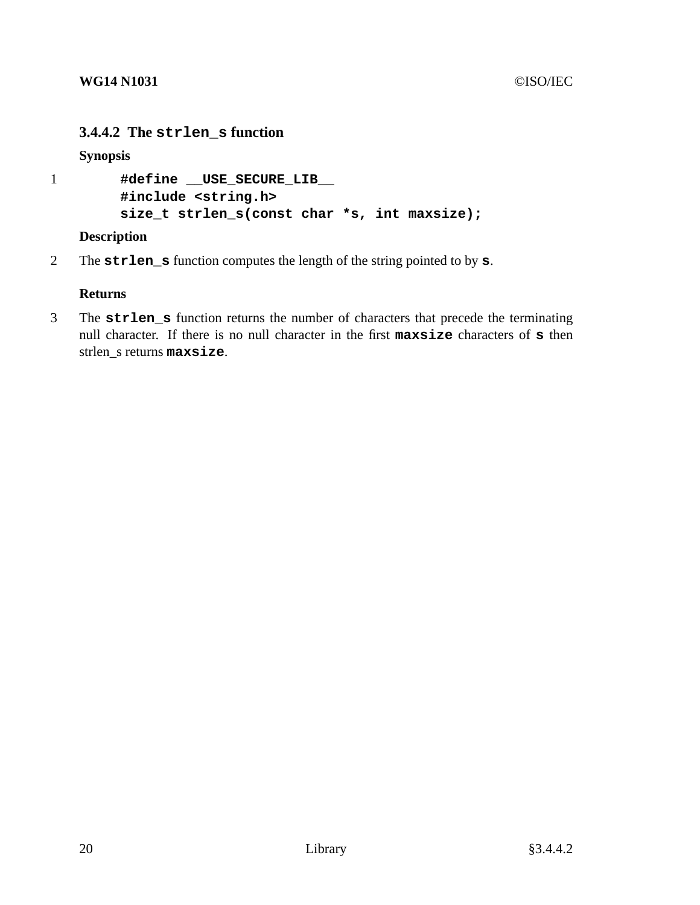## **3.4.4.2 The strlen\_s function**

**Synopsis**

```
1 #define __USE_SECURE_LIB__
        #include <string.h>
        size_t strlen_s(const char *s, int maxsize);
```
## **Description**

2 The **strlen\_s** function computes the length of the string pointed to by **s**.

## **Returns**

3 The **strlen\_s** function returns the number of characters that precede the terminating null character. If there is no null character in the first **maxsize** characters of **s** then strlen\_s returns **maxsize**.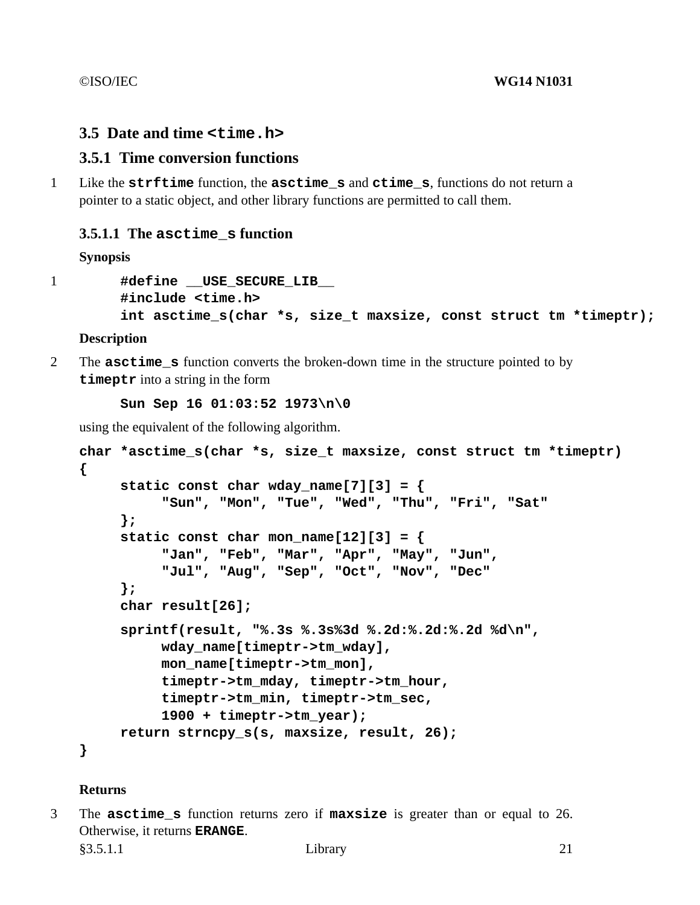## **3.5 Date and time <time.h>**

## **3.5.1 Time conversion functions**

1 Like the **strftime** function, the **asctime\_s** and **ctime\_s**, functions do not return a pointer to a static object, and other library functions are permitted to call them.

## **3.5.1.1 The asctime\_s function**

## **Synopsis**

```
1 #define USE_SECURE_LIB__
       #include <time.h>
       int asctime s(char *s, size t maxsize, const struct tm *timeptr);
```
### **Description**

2 The **asctime\_s** function converts the broken-down time in the structure pointed to by **timeptr** into a string in the form

**Sun Sep 16 01:03:52 1973\n\0**

using the equivalent of the following algorithm.

```
char *asctime_s(char *s, size_t maxsize, const struct tm *timeptr)
{
     static const char wday_name[7][3] = {
          "Sun", "Mon", "Tue", "Wed", "Thu", "Fri", "Sat"
     };
     static const char mon_name[12][3] = {
          "Jan", "Feb", "Mar", "Apr", "May", "Jun",
          "Jul", "Aug", "Sep", "Oct", "Nov", "Dec"
     };
     char result[26];
     sprintf(result, "%.3s %.3s%3d %.2d:%.2d:%.2d %d\n",
          wday_name[timeptr->tm_wday],
          mon_name[timeptr->tm_mon],
          timeptr->tm_mday, timeptr->tm_hour,
          timeptr->tm_min, timeptr->tm_sec,
          1900 + timeptr->tm_year);
     return strncpy_s(s, maxsize, result, 26);
}
```
#### **Returns**

3 The **asctime\_s** function returns zero if **maxsize** is greater than or equal to 26. Otherwise, it returns **ERANGE**.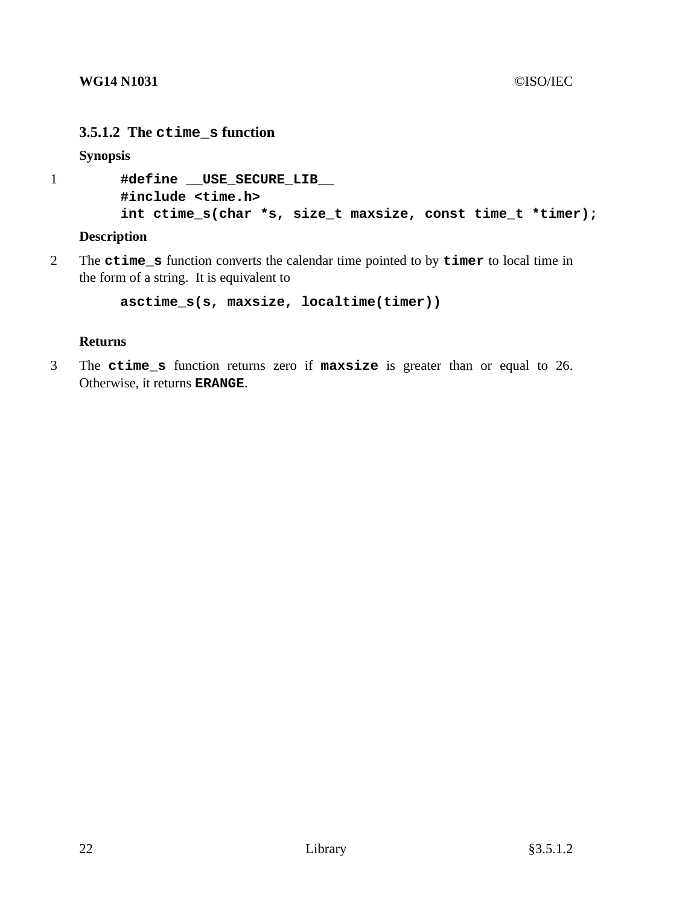## **3.5.1.2 The ctime\_s function**

**Synopsis**

```
1 #define __USE_SECURE_LIB__
        #include <time.h>
        int ctime_s(char *s, size_t maxsize, const time_t *timer);
```
**Description**

2 The **ctime\_s** function converts the calendar time pointed to by **timer** to local time in the form of a string. It is equivalent to

**asctime\_s(s, maxsize, localtime(timer))**

## **Returns**

3 The **ctime\_s** function returns zero if **maxsize** is greater than or equal to 26. Otherwise, it returns **ERANGE**.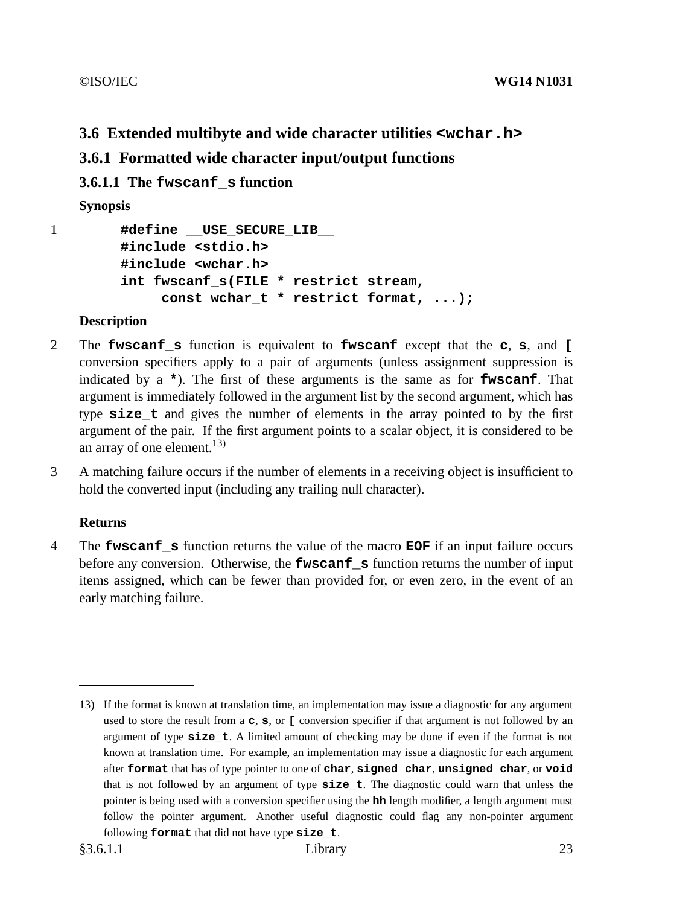## **3.6 Extended multibyte and wide character utilities <wchar.h>**

## **3.6.1 Formatted wide character input/output functions**

**3.6.1.1 The fwscanf\_s function**

**Synopsis**

1 **#define** USE SECURE LIB **#include <stdio.h> #include <wchar.h> int fwscanf\_s(FILE \* restrict stream, const wchar\_t \* restrict format, ...);**

## **Description**

- 2 The **fwscanf\_s** function is equivalent to **fwscanf** except that the **c**, **s**, and **[** conversion specifiers apply to a pair of arguments (unless assignment suppression is indicated by a **\***). The first of these arguments is the same as for **fwscanf**. That argument is immediately followed in the argument list by the second argument, which has type **size\_t** and gives the number of elements in the array pointed to by the first argument of the pair. If the first argument points to a scalar object, it is considered to be an array of one element.<sup>13)</sup>
- 3 A matching failure occurs if the number of elements in a receiving object is insufficient to hold the converted input (including any trailing null character).

## **Returns**

4 The **fwscanf\_s** function returns the value of the macro **EOF** if an input failure occurs before any conversion. Otherwise, the **fwscanf\_s** function returns the number of input items assigned, which can be fewer than provided for, or even zero, in the event of an early matching failure.

<sup>13)</sup> If the format is known at translation time, an implementation may issue a diagnostic for any argument used to store the result from a **c**, **s**, or **[** conversion specifier if that argument is not followed by an argument of type **size\_t**.Alimited amount of checking may be done if even if the format is not known at translation time. For example, an implementation may issue a diagnostic for each argument after **format** that has of type pointer to one of **char**, **signed char**, **unsigned char**, or **void** that is not followed by an argument of type **size\_t**. The diagnostic could warn that unless the pointer is being used with a conversion specifier using the **hh** length modifier, a length argument must follow the pointer argument. Another useful diagnostic could flag any non-pointer argument following **format** that did not have type **size\_t**.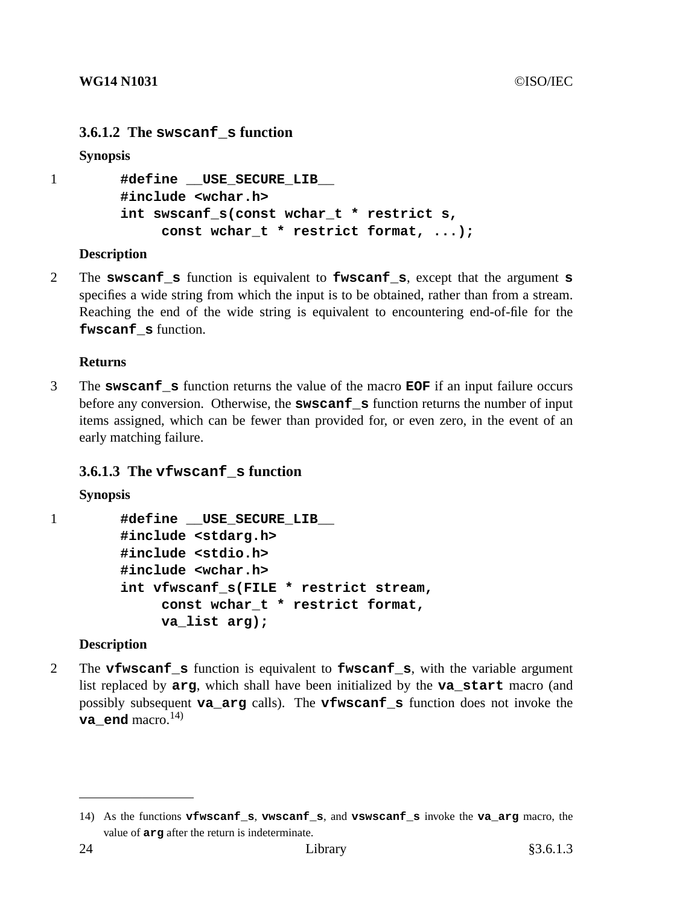## **3.6.1.2 The swscanf\_s function**

#### **Synopsis**

```
1 #define __USE_SECURE_LIB__
        #include <wchar.h>
        int swscanf_s(const wchar_t * restrict s,
             const wchar_t * restrict format, ...);
```
### **Description**

2 The **swscanf\_s** function is equivalent to **fwscanf\_s**, except that the argument **s** specifies a wide string from which the input is to be obtained, rather than from a stream. Reaching the end of the wide string is equivalent to encountering end-of-file for the **fwscanf\_s** function.

### **Returns**

3 The **swscanf\_s** function returns the value of the macro **EOF** if an input failure occurs before any conversion. Otherwise, the **swscanf s** function returns the number of input items assigned, which can be fewer than provided for, or even zero, in the event of an early matching failure.

## **3.6.1.3 The vfwscanf\_s function**

```
Synopsis
```

```
1 #define __USE_SECURE_LIB__
        #include <stdarg.h>
        #include <stdio.h>
        #include <wchar.h>
        int vfwscanf_s(FILE * restrict stream,
             const wchar_t * restrict format,
             va_list arg);
```
## **Description**

2 The **vfwscanf\_s** function is equivalent to **fwscanf\_s**, with the variable argument list replaced by **arg**, which shall have been initialized by the **va\_start** macro (and possibly subsequent **va\_arg** calls). The **vfwscanf\_s** function does not invoke the **va\_end** macro.<sup>14)</sup>

<sup>14)</sup> As the functions **vfwscanf\_s**, **vwscanf\_s**, and **vswscanf\_s** invoke the **va\_arg** macro, the value of **arg** after the return is indeterminate.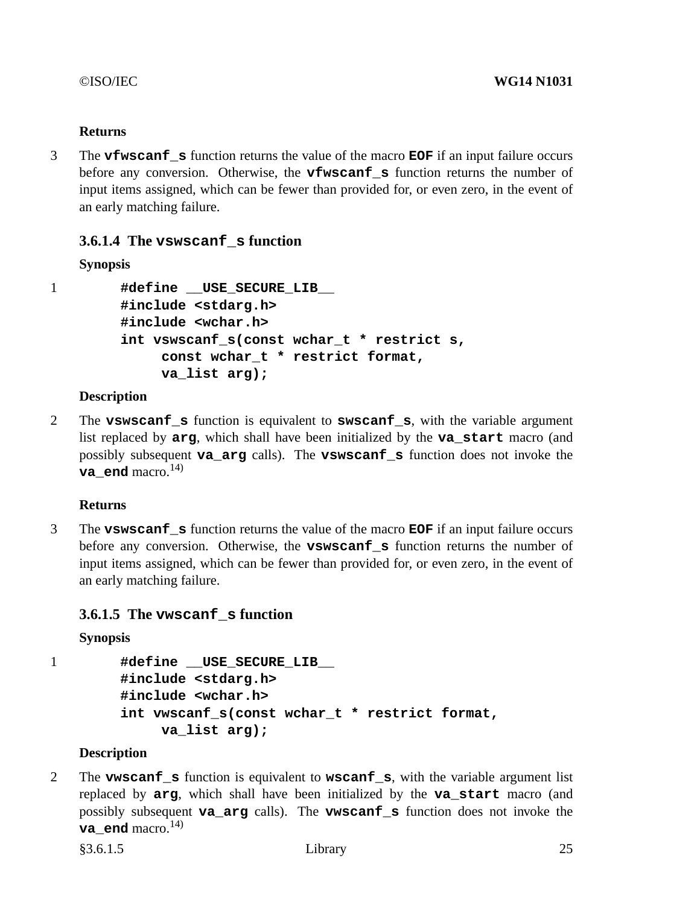3 The **vfwscanf\_s** function returns the value of the macro **EOF** if an input failure occurs before any conversion. Otherwise, the **vfwscanf\_s** function returns the number of input items assigned, which can be fewer than provided for, or even zero, in the event of an early matching failure.

## **3.6.1.4 The vswscanf\_s function**

## **Synopsis**

```
1 #define __USE_SECURE_LIB__
        #include <stdarg.h>
        #include <wchar.h>
        int vswscanf_s(const wchar_t * restrict s,
             const wchar_t * restrict format,
             va_list arg);
```
### **Description**

2 The **vswscanf\_s** function is equivalent to **swscanf\_s**, with the variable argument list replaced by **arg**, which shall have been initialized by the **va\_start** macro (and possibly subsequent **va\_arg** calls). The **vswscanf\_s** function does not invoke the **va** end macro.<sup>14)</sup>

## **Returns**

3 The **vswscanf\_s** function returns the value of the macro **EOF** if an input failure occurs before any conversion. Otherwise, the **vswscanf\_s** function returns the number of input items assigned, which can be fewer than provided for, or even zero, in the event of an early matching failure.

## **3.6.1.5 The vwscanf\_s function**

**Synopsis**

1 **#define** USE SECURE LIB **#include <stdarg.h> #include <wchar.h> int vwscanf\_s(const wchar\_t \* restrict format, va\_list arg);**

## **Description**

2 The **vwscanf\_s** function is equivalent to **wscanf\_s**, with the variable argument list replaced by **arg**, which shall have been initialized by the **va\_start** macro (and possibly subsequent **va\_arg** calls). The **vwscanf\_s** function does not invoke the **va** end macro.<sup>14)</sup>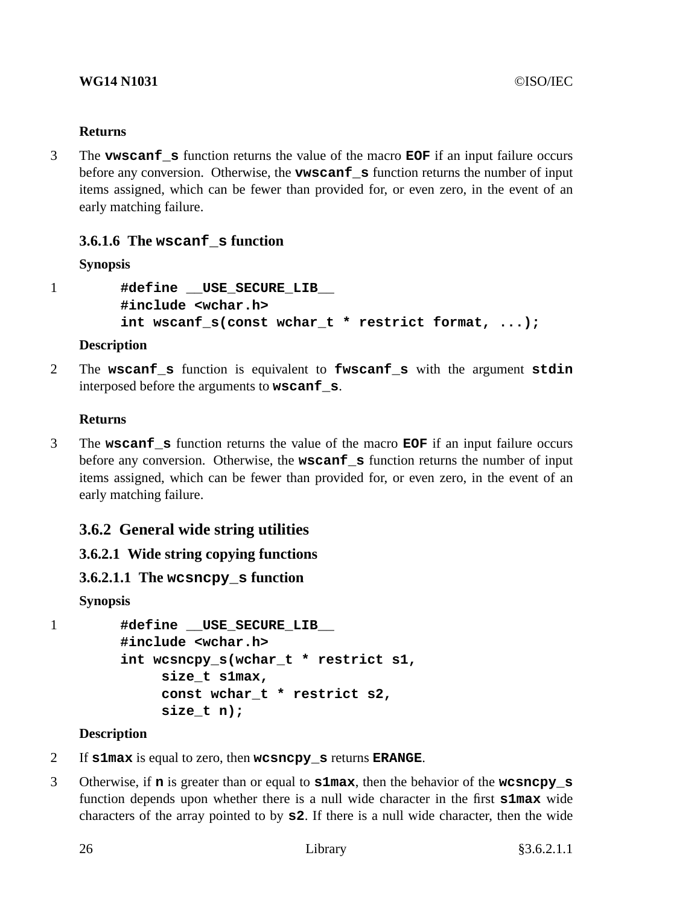3 The **vwscanf\_s** function returns the value of the macro **EOF** if an input failure occurs before any conversion. Otherwise, the **vwscanf\_s** function returns the number of input items assigned, which can be fewer than provided for, or even zero, in the event of an early matching failure.

## **3.6.1.6 The wscanf\_s function**

## **Synopsis**

```
1 #define __USE_SECURE_LIB__
       #include <wchar.h>
        int wscanf_s(const wchar_t * restrict format, ...);
```
## **Description**

2 The **wscanf\_s** function is equivalent to **fwscanf\_s** with the argument **stdin** interposed before the arguments to **wscanf\_s**.

## **Returns**

3 The **wscanf\_s** function returns the value of the macro **EOF** if an input failure occurs before any conversion. Otherwise, the **wscanf\_s** function returns the number of input items assigned, which can be fewer than provided for, or even zero, in the event of an early matching failure.

## **3.6.2 General wide string utilities**

## **3.6.2.1 Wide string copying functions**

## **3.6.2.1.1 The wcsncpy\_s function**

**Synopsis**

```
1 #define __USE_SECURE_LIB__
        #include <wchar.h>
        int wcsncpy_s(wchar_t * restrict s1,
             size_t s1max,
             const wchar_t * restrict s2,
             size_t n);
```
## **Description**

- 2 If **s1max** is equal to zero, then **wcsncpy\_s** returns **ERANGE**.
- 3 Otherwise, if **n** is greater than or equal to **s1max**, then the behavior of the **wcsncpy\_s** function depends upon whether there is a null wide character in the first **s1max** wide characters of the array pointed to by **s2**. If there is a null wide character, then the wide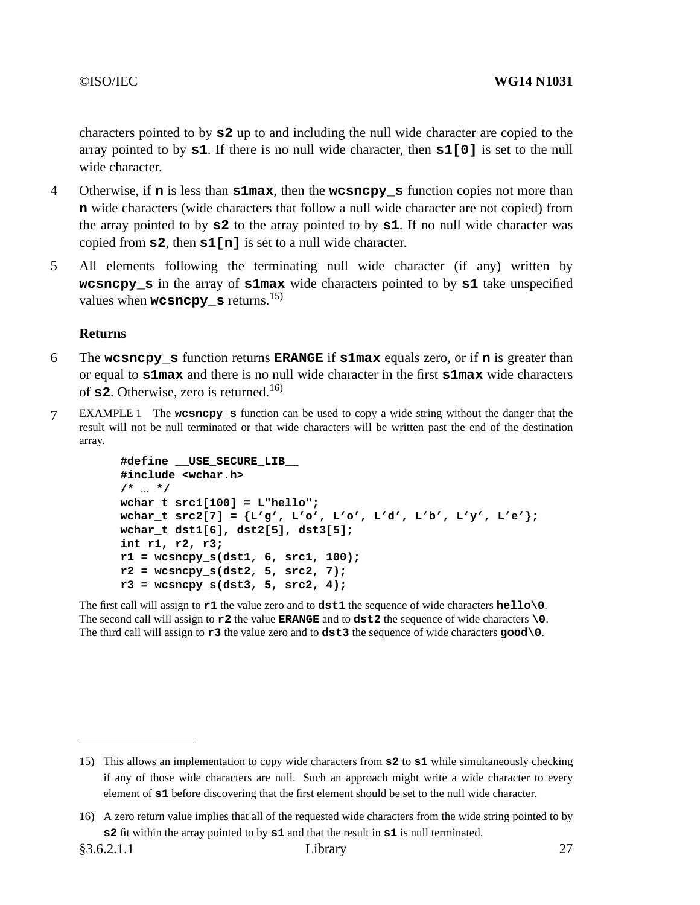characters pointed to by **s2** up to and including the null wide character are copied to the array pointed to by **s1**. If there is no null wide character, then **s1[0]** is set to the null wide character.

- 4 Otherwise, if **n** is less than **s1max**, then the **wcsncpy\_s** function copies not more than **n** wide characters (wide characters that follow a null wide character are not copied) from the array pointed to by **s2** to the array pointed to by **s1**. If no null wide character was copied from **s2**, then **s1[n]** is set to a null wide character.
- 5 All elements following the terminating null wide character (if any) written by **wcsncpy s** in the array of **s1max** wide characters pointed to by **s1** take unspecified values when **wcsncpy** s returns.<sup>15)</sup>

#### **Returns**

- 6 The **wcsncpy\_s** function returns **ERANGE** if **s1max** equals zero, or if **n** is greater than or equal to **s1max** and there is no null wide character in the first **s1max** wide characters of **s2**. Otherwise, zero is returned.16)
- 7 EXAMPLE 1 The **wcsncpy\_s** function can be used to copyawide string without the danger that the result will not be null terminated or that wide characters will be written past the end of the destination array.

```
#define __USE_SECURE_LIB__
#include <wchar.h>
/* ... */
wchar_t src1[100] = L"hello";
wchar_t src2[7] = {L'g', L'o', L'o', L'd', L'b', L'y', L'e'};
wchar_t dst1[6], dst2[5], dst3[5];
int r1, r2, r3;
r1 = wcsncpy_s(dst1, 6, src1, 100);
r2 = wcsncpy_s(dst2, 5, src2, 7);
r3 = wcsncpy_s(dst3, 5, src2, 4);
```
The first call will assign to **r1** the value zero and to **dst1** the sequence of wide characters **hello\0**. The second call will assign to **r2** the value **ERANGE** and to **dst2** the sequence of wide characters **\0**. The third call will assign to **r3** the value zero and to **dst3** the sequence of wide characters **good\0**.

<sup>15)</sup> This allows an implementation to copy wide characters from **s2** to **s1** while simultaneously checking if any of those wide characters are null. Such an approach might write a wide character to every element of **s1** before discovering that the first element should be set to the null wide character.

<sup>16)</sup> A zero return value implies that all of the requested wide characters from the wide string pointed to by **s2** fit within the array pointed to by **s1** and that the result in **s1** is null terminated.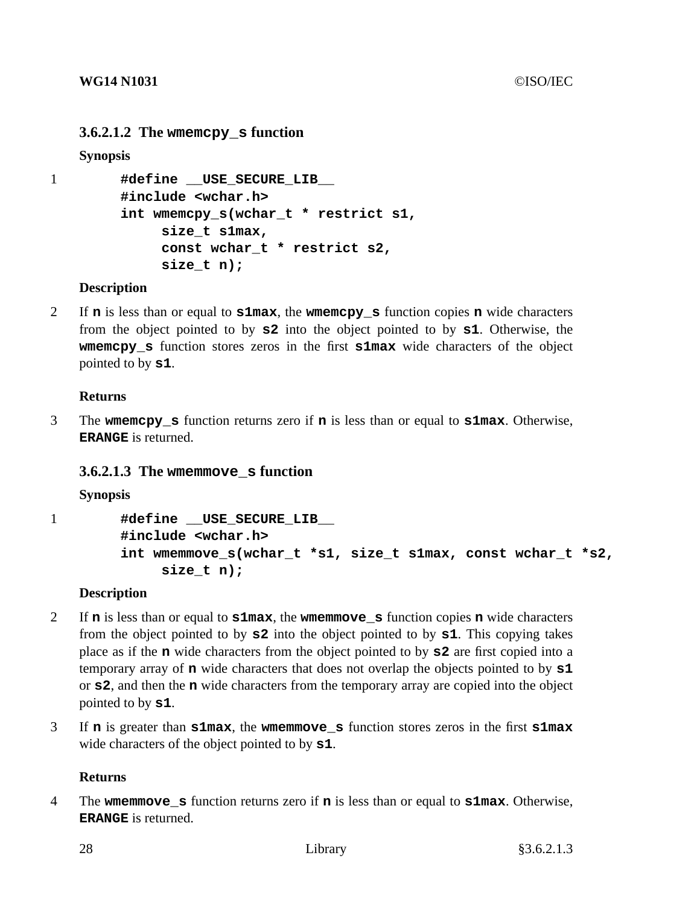## **3.6.2.1.2 The wmemcpy\_s function**

**Synopsis**

```
1 #define __USE_SECURE_LIB__
        #include <wchar.h>
        int wmemcpy_s(wchar_t * restrict s1,
             size_t s1max,
             const wchar_t * restrict s2,
             size_t n);
```
#### **Description**

2 If **n** is less than or equal to **s1max**, the **wmemcpy\_s** function copies **n** wide characters from the object pointed to by **s2** into the object pointed to by **s1**. Otherwise, the **wmemcpy s** function stores zeros in the first **s1max** wide characters of the object pointed to by **s1**.

#### **Returns**

3 The **wmemcpy\_s** function returns zero if **n** is less than or equal to **s1max**. Otherwise, **ERANGE** is returned.

## **3.6.2.1.3 The wmemmove\_s function**

**Synopsis**

```
1 #define __USE_SECURE_LIB__
        #include <wchar.h>
        int wmemmove_s(wchar_t *s1, size_t s1max, const wchar_t *s2,
             size_t n);
```
#### **Description**

- 2 If **n** is less than or equal to **s1max**, the **wmemmove\_s** function copies **n** wide characters from the object pointed to by **s2** into the object pointed to by **s1**. This copying takes place as if the **n** wide characters from the object pointed to by **s2** are first copied into a temporary array of **n** wide characters that does not overlap the objects pointed to by **s1** or **s2**, and then the **n** wide characters from the temporary array are copied into the object pointed to by **s1**.
- 3 If **n** is greater than **s1max**, the **wmemmove\_s** function stores zeros in the first **s1max** wide characters of the object pointed to by **s1**.

#### **Returns**

4 The **wmemmove\_s** function returns zero if **n** is less than or equal to **s1max**. Otherwise, **ERANGE** is returned.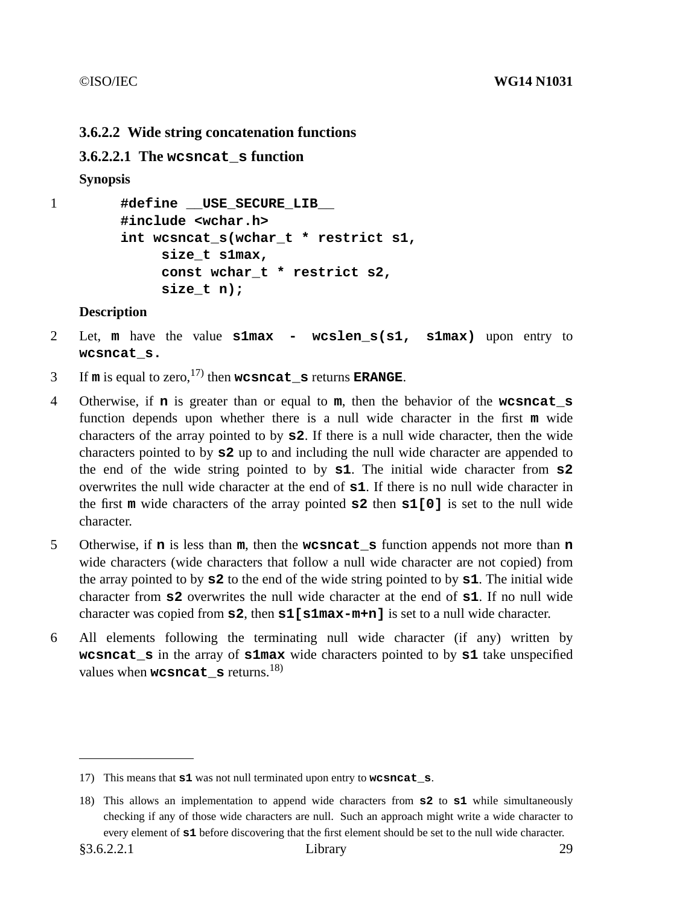## **3.6.2.2 Wide string concatenation functions**

## **3.6.2.2.1 The wcsncat\_s function**

## **Synopsis**

```
1 #define __USE_SECURE_LIB__
        #include <wchar.h>
        int wcsncat_s(wchar_t * restrict s1,
             size_t s1max,
             const wchar_t * restrict s2,
             size_t n);
```
### **Description**

- 2 Let, **m** have the value **s1max wcslen\_s(s1, s1max)** upon entry to **wcsncat\_s.**
- 3 If  $\mathbf{m}$  is equal to zero,  $^{17}$  then **wcsncat s** returns **ERANGE**.
- 4 Otherwise, if **n** is greater than or equal to **m**, then the behavior of the **wcsncat\_s** function depends upon whether there is a null wide character in the first **m** wide characters of the array pointed to by **s2**. If there is a null wide character, then the wide characters pointed to by **s2** up to and including the null wide character are appended to the end of the wide string pointed to by **s1**. The initial wide character from **s2** overwrites the null wide character at the end of **s1**. If there is no null wide character in the first **m** wide characters of the array pointed **s2** then **s1[0]** is set to the null wide character.
- 5 Otherwise, if **n** is less than **m**, then the **wcsncat\_s** function appends not more than **n** wide characters (wide characters that follow a null wide character are not copied) from the array pointed to by **s2** to the end of the wide string pointed to by **s1**. The initial wide character from **s2** overwrites the null wide character at the end of **s1**. If no null wide character was copied from **s2**, then **s1[s1max-m+n]** is set to a null wide character.
- 6 All elements following the terminating null wide character (if any) written by **wcsncat\_s** in the array of **s1max** wide characters pointed to by **s1** take unspecified values when **wcsncat**  $\boldsymbol{s}$  returns.<sup>18)</sup>

<sup>17)</sup> This means that **s1** was not null terminated upon entry to **wcsncat\_s**.

<sup>18)</sup> This allows an implementation to append wide characters from **s2** to **s1** while simultaneously checking if any of those wide characters are null. Such an approach might write a wide character to every element of **s1** before discovering that the first element should be set to the null wide character.